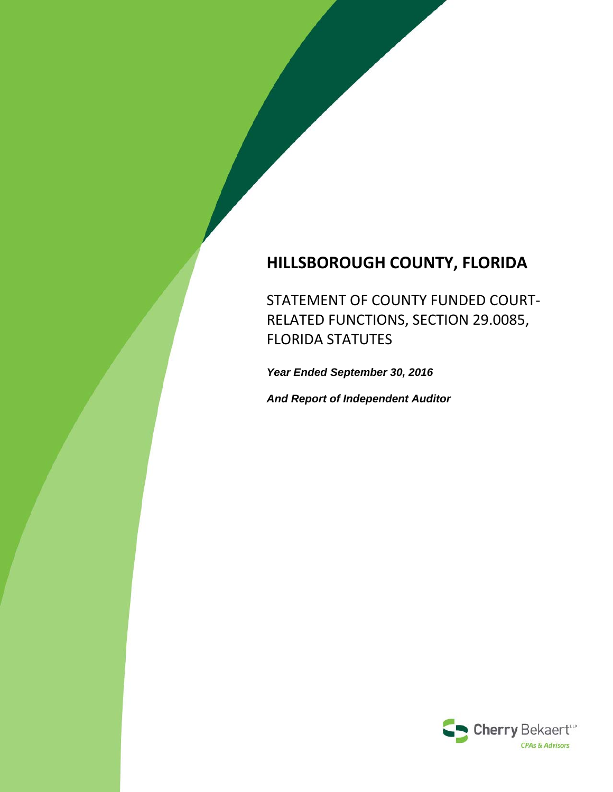# **HILLSBOROUGH COUNTY, FLORIDA**

STATEMENT OF COUNTY FUNDED COURT‐ RELATED FUNCTIONS, SECTION 29.0085, FLORIDA STATUTES

*Year Ended September 30, 2016*

*And Report of Independent Auditor*

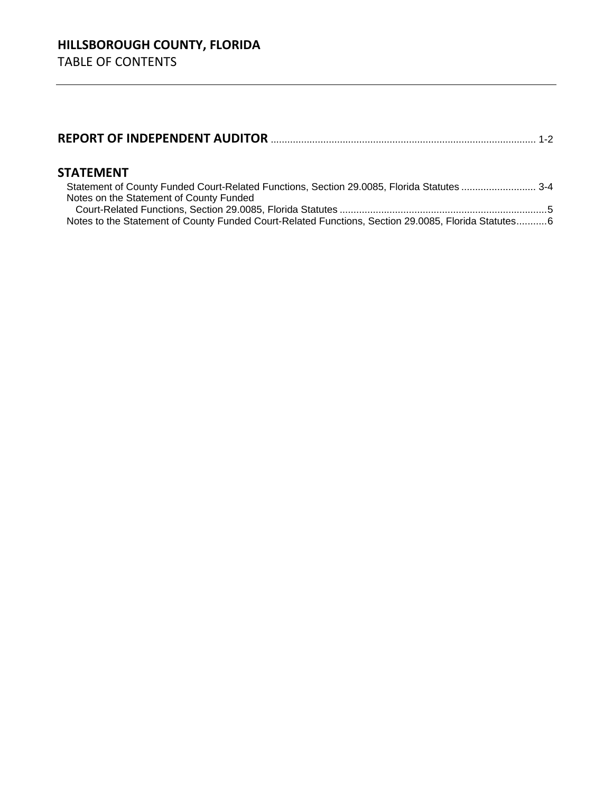|--|--|--|--|

### **STATEMENT**

| Notes on the Statement of County Funded                                                             |  |
|-----------------------------------------------------------------------------------------------------|--|
|                                                                                                     |  |
| Notes to the Statement of County Funded Court-Related Functions, Section 29.0085, Florida Statutes6 |  |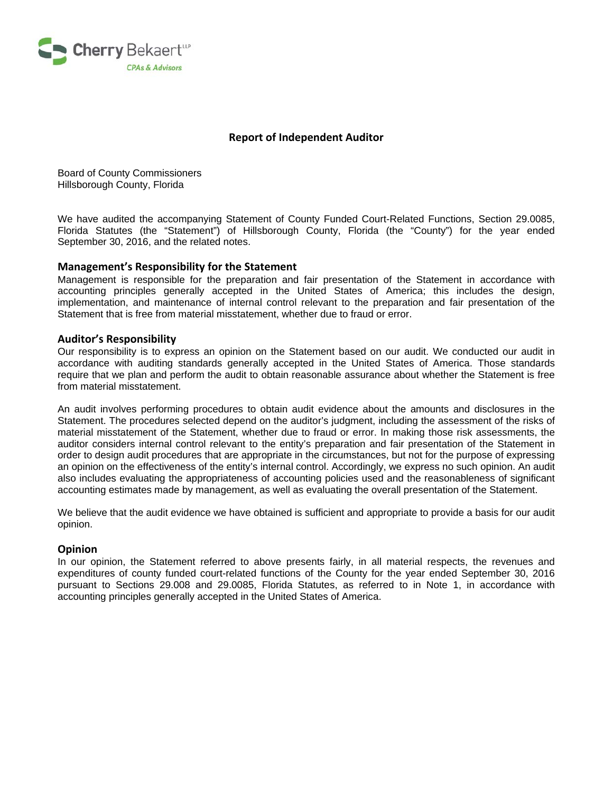

#### **Report of Independent Auditor**

Board of County Commissioners Hillsborough County, Florida

We have audited the accompanying Statement of County Funded Court-Related Functions, Section 29.0085, Florida Statutes (the "Statement") of Hillsborough County, Florida (the "County") for the year ended September 30, 2016, and the related notes.

#### **Management's Responsibility for the Statement**

Management is responsible for the preparation and fair presentation of the Statement in accordance with accounting principles generally accepted in the United States of America; this includes the design, implementation, and maintenance of internal control relevant to the preparation and fair presentation of the Statement that is free from material misstatement, whether due to fraud or error.

#### **Auditor's Responsibility**

Our responsibility is to express an opinion on the Statement based on our audit. We conducted our audit in accordance with auditing standards generally accepted in the United States of America. Those standards require that we plan and perform the audit to obtain reasonable assurance about whether the Statement is free from material misstatement.

An audit involves performing procedures to obtain audit evidence about the amounts and disclosures in the Statement. The procedures selected depend on the auditor's judgment, including the assessment of the risks of material misstatement of the Statement, whether due to fraud or error. In making those risk assessments, the auditor considers internal control relevant to the entity's preparation and fair presentation of the Statement in order to design audit procedures that are appropriate in the circumstances, but not for the purpose of expressing an opinion on the effectiveness of the entity's internal control. Accordingly, we express no such opinion. An audit also includes evaluating the appropriateness of accounting policies used and the reasonableness of significant accounting estimates made by management, as well as evaluating the overall presentation of the Statement.

We believe that the audit evidence we have obtained is sufficient and appropriate to provide a basis for our audit opinion.

#### **Opinion**

In our opinion, the Statement referred to above presents fairly, in all material respects, the revenues and expenditures of county funded court-related functions of the County for the year ended September 30, 2016 pursuant to Sections 29.008 and 29.0085, Florida Statutes, as referred to in Note 1, in accordance with accounting principles generally accepted in the United States of America.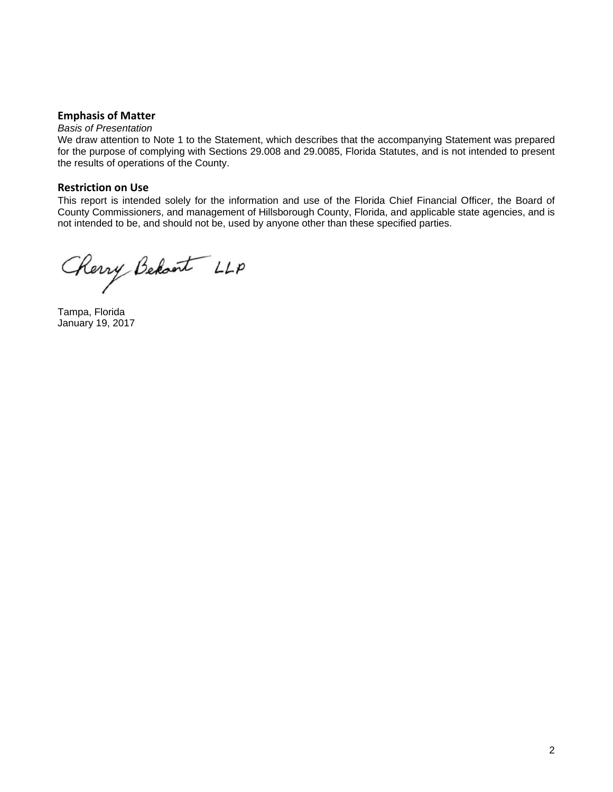#### **Emphasis of Matter**

#### *Basis of Presentation*

We draw attention to Note 1 to the Statement, which describes that the accompanying Statement was prepared for the purpose of complying with Sections 29.008 and 29.0085, Florida Statutes, and is not intended to present the results of operations of the County.

#### **Restriction on Use**

This report is intended solely for the information and use of the Florida Chief Financial Officer, the Board of County Commissioners, and management of Hillsborough County, Florida, and applicable state agencies, and is not intended to be, and should not be, used by anyone other than these specified parties.

Cherry Behant LLP

Tampa, Florida January 19, 2017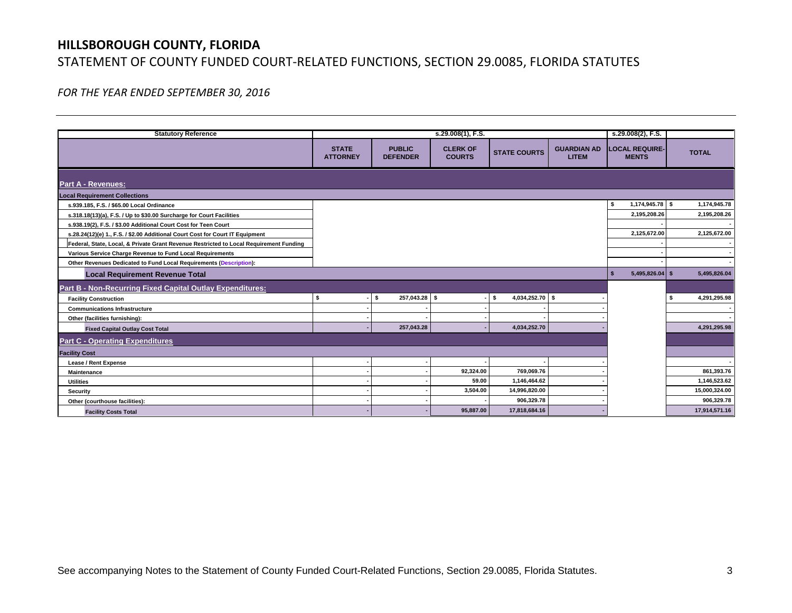# **HILLSBOROUGH COUNTY, FLORIDA** STATEMENT OF COUNTY FUNDED COURT‐RELATED FUNCTIONS, SECTION 29.0085, FLORIDA STATUTES

*FOR THE YEAR ENDED SEPTEMBER 30, 2016*

| <b>Statutory Reference</b>                                                             |                                 |                                  | s.29.008(1), F.S.                |                         |                                    | s.29.008(2), F.S.                     |               |
|----------------------------------------------------------------------------------------|---------------------------------|----------------------------------|----------------------------------|-------------------------|------------------------------------|---------------------------------------|---------------|
|                                                                                        | <b>STATE</b><br><b>ATTORNEY</b> | <b>PUBLIC</b><br><b>DEFENDER</b> | <b>CLERK OF</b><br><b>COURTS</b> | <b>STATE COURTS</b>     | <b>GUARDIAN AD</b><br><b>LITEM</b> | <b>LOCAL REQUIRE-</b><br><b>MENTS</b> | <b>TOTAL</b>  |
| <b>Part A - Revenues:</b>                                                              |                                 |                                  |                                  |                         |                                    |                                       |               |
| <b>Local Requirement Collections</b>                                                   |                                 |                                  |                                  |                         |                                    |                                       |               |
| s.939.185, F.S. / \$65.00 Local Ordinance                                              |                                 |                                  |                                  |                         |                                    | 1,174,945.78 \$<br>-S                 | 1,174,945.78  |
| s.318.18(13)(a), F.S. / Up to \$30.00 Surcharge for Court Facilities                   |                                 |                                  |                                  |                         |                                    | 2,195,208.26                          | 2,195,208.26  |
| s.938.19(2), F.S. / \$3.00 Additional Court Cost for Teen Court                        |                                 |                                  |                                  |                         |                                    |                                       |               |
| s.28.24(12)(e) 1., F.S. / \$2.00 Additional Court Cost for Court IT Equipment          |                                 |                                  |                                  |                         |                                    | 2,125,672.00                          | 2,125,672.00  |
| Federal, State, Local, & Private Grant Revenue Restricted to Local Requirement Funding |                                 |                                  |                                  |                         |                                    |                                       |               |
| Various Service Charge Revenue to Fund Local Requirements                              |                                 |                                  |                                  |                         |                                    |                                       |               |
| Other Revenues Dedicated to Fund Local Requirements (Description):                     |                                 |                                  |                                  |                         |                                    |                                       |               |
| <b>Local Requirement Revenue Total</b>                                                 |                                 |                                  |                                  |                         |                                    | $5,495,826.04$ \$                     | 5,495,826.04  |
| Part B - Non-Recurring Fixed Capital Outlay Expenditures:                              |                                 |                                  |                                  |                         |                                    |                                       |               |
| <b>Facility Construction</b>                                                           | s                               | 257,043.28 \$<br>s.              |                                  | 4,034,252.70 \$<br>- \$ |                                    |                                       | 4,291,295.98  |
| <b>Communications Infrastructure</b>                                                   |                                 |                                  |                                  |                         |                                    |                                       |               |
| Other (facilities furnishing):                                                         |                                 |                                  |                                  |                         |                                    |                                       |               |
| <b>Fixed Capital Outlay Cost Total</b>                                                 |                                 | 257,043.28                       |                                  | 4,034,252.70            |                                    |                                       | 4,291,295.98  |
| <b>Part C - Operating Expenditures</b>                                                 |                                 |                                  |                                  |                         |                                    |                                       |               |
| <b>Facility Cost</b>                                                                   |                                 |                                  |                                  |                         |                                    |                                       |               |
| <b>Lease / Rent Expense</b>                                                            |                                 |                                  |                                  |                         |                                    |                                       |               |
| Maintenance                                                                            |                                 |                                  | 92,324.00                        | 769,069.76              |                                    |                                       | 861,393.76    |
| <b>Utilities</b>                                                                       |                                 |                                  | 59.00                            | 1,146,464.62            |                                    |                                       | 1,146,523.62  |
| Security                                                                               |                                 |                                  | 3,504.00                         | 14,996,820.00           |                                    |                                       | 15,000,324.00 |
| Other (courthouse facilities):                                                         |                                 |                                  |                                  | 906,329.78              |                                    |                                       | 906,329.78    |
| <b>Facility Costs Total</b>                                                            |                                 |                                  | 95,887.00                        | 17,818,684.16           |                                    |                                       | 17,914,571.16 |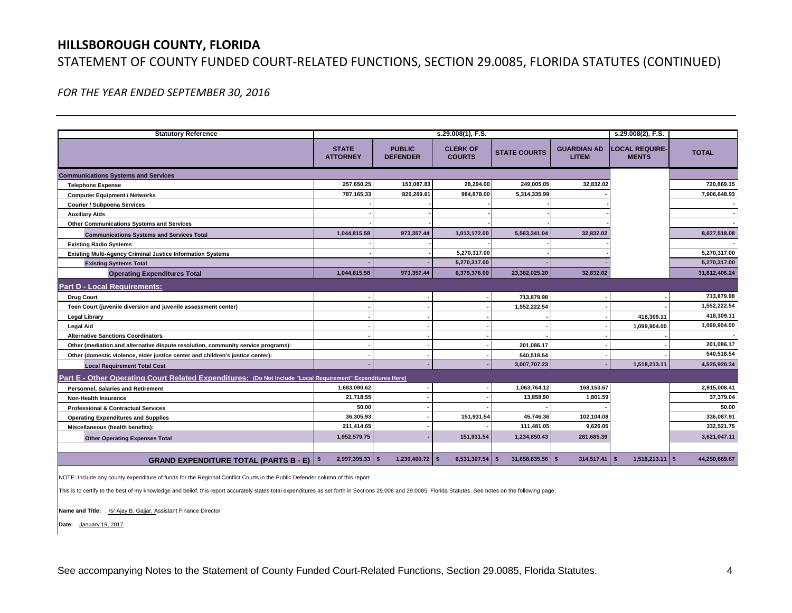### **HILLSBOROUGH COUNTY, FLORIDA**

### STATEMENT OF COUNTY FUNDED COURT‐RELATED FUNCTIONS, SECTION 29.0085, FLORIDA STATUTES (CONTINUED)

*FOR THE YEAR ENDED SEPTEMBER 30, 2016*

| <b>Statutory Reference</b>                                                                                  |                                 |                                  | s.29.008(1), F.S.                |                      |                                    | s.29.008(2), F.S.                     |               |
|-------------------------------------------------------------------------------------------------------------|---------------------------------|----------------------------------|----------------------------------|----------------------|------------------------------------|---------------------------------------|---------------|
|                                                                                                             | <b>STATE</b><br><b>ATTORNEY</b> | <b>PUBLIC</b><br><b>DEFENDER</b> | <b>CLERK OF</b><br><b>COURTS</b> | <b>STATE COURTS</b>  | <b>GUARDIAN AD</b><br><b>LITEM</b> | <b>LOCAL REQUIRE-</b><br><b>MENTS</b> | <b>TOTAL</b>  |
| <b>Communications Systems and Services</b>                                                                  |                                 |                                  |                                  |                      |                                    |                                       |               |
| <b>Telephone Expense</b>                                                                                    | 257,650.25                      | 153,087.83                       | 28,294.00                        | 249,005.05           | 32,832.02                          |                                       | 720.869.15    |
| <b>Computer Equipment / Networks</b>                                                                        | 787.165.33                      | 820,269.61                       | 984,878.00                       | 5,314,335.99         |                                    |                                       | 7,906,648.93  |
| <b>Courier / Subpoena Services</b>                                                                          |                                 |                                  |                                  |                      |                                    |                                       |               |
| <b>Auxiliary Aids</b>                                                                                       |                                 |                                  |                                  |                      |                                    |                                       |               |
| <b>Other Communications Systems and Services</b>                                                            |                                 |                                  |                                  |                      |                                    |                                       |               |
| <b>Communications Systems and Services Total</b>                                                            | 1,044,815.58                    | 973,357.44                       | 1,013,172.00                     | 5,563,341.04         | 32,832.02                          |                                       | 8,627,518.08  |
| <b>Existing Radio Systems</b>                                                                               |                                 |                                  |                                  |                      |                                    |                                       |               |
| <b>Existing Multi-Agency Criminal Justice Information Systems</b>                                           |                                 |                                  | 5,270,317.00                     |                      |                                    |                                       | 5,270,317.00  |
| <b>Existing Systems Total</b>                                                                               |                                 |                                  | 5,270,317.00                     |                      |                                    |                                       | 5,270,317.00  |
| <b>Operating Expenditures Total</b>                                                                         | 1,044,815.58                    | 973,357.44                       | 6,379,376.00                     | 23,382,025.20        | 32,832.02                          |                                       | 31,812,406.24 |
| <b>Part D - Local Requirements:</b>                                                                         |                                 |                                  |                                  |                      |                                    |                                       |               |
| <b>Drug Court</b>                                                                                           |                                 |                                  |                                  | 713,879.98           |                                    |                                       | 713,879.98    |
| Teen Court (juvenile diversion and juvenile assessment center)                                              |                                 |                                  |                                  | 1,552,222.54         |                                    |                                       | 1,552,222.54  |
| <b>Legal Library</b>                                                                                        |                                 |                                  |                                  |                      |                                    | 418,309.11                            | 418.309.11    |
| <b>Legal Aid</b>                                                                                            |                                 |                                  |                                  |                      |                                    | 1,099,904.00                          | 1,099,904.00  |
| <b>Alternative Sanctions Coordinators</b>                                                                   |                                 |                                  |                                  |                      |                                    |                                       |               |
| Other (mediation and alternative dispute resolution, community service programs):                           |                                 |                                  |                                  | 201,086.17           |                                    |                                       | 201.086.17    |
| Other (domestic violence, elder justice center and children's justice center):                              |                                 |                                  |                                  | 540,518.54           |                                    |                                       | 540,518.54    |
| <b>Local Requirement Total Cost</b>                                                                         |                                 |                                  |                                  | 3,007,707.23         |                                    | 1,518,213.11                          | 4,525,920.34  |
| Part E - Other Operating Court Related Expenditures: (Do Not Include "Local Requirement" Expenditures Here) |                                 |                                  |                                  |                      |                                    |                                       |               |
| Personnel, Salaries and Retirement                                                                          | 1.683.090.62                    |                                  |                                  | 1.063.764.12         | 168,153.67                         |                                       | 2.915.008.41  |
| <b>Non-Health Insurance</b>                                                                                 | 21,718.55                       |                                  |                                  | 13,858.90            | 1,801.59                           |                                       | 37,379.04     |
| <b>Professional &amp; Contractual Services</b>                                                              | 50.00                           |                                  |                                  |                      |                                    |                                       | 50.00         |
| <b>Operating Expenditures and Supplies</b>                                                                  | 36,305.93                       |                                  | 151,931.54                       | 45,746.36            | 102,104.08                         |                                       | 336.087.91    |
| Miscellaneous (health benefits):                                                                            | 211,414.65                      |                                  |                                  | 111,481.05           | 9.626.05                           |                                       | 332.521.75    |
| <b>Other Operating Expenses Total</b>                                                                       | 1,952,579.75                    |                                  | 151,931.54                       | 1,234,850.43         | 281,685.39                         |                                       | 3,621,047.11  |
|                                                                                                             |                                 |                                  |                                  |                      |                                    |                                       |               |
| <b>GRAND EXPENDITURE TOTAL (PARTS B - E)</b>                                                                | $2,997,395.33$ \$               | $1,230,400.72$ \$                | 6,531,307.54                     | 31,658,835.56<br>l S | 314,517.41<br>- \$                 | $1,518,213.11$ \$<br>l \$             | 44,250,669.67 |

NOTE: Include any county expenditure of funds for the Regional Conflict Courts in the Public Defender column of this report

This is to certify to the best of my knowledge and belief, this report accurately states total expenditures as set forth in Sections 29.008 and 29.0085, Florida Statutes. See notes on the following page.

**Name and Title:** /s/ Ajay B. Gajjar, Assistant Finance Director

**Date:** January 19, 2017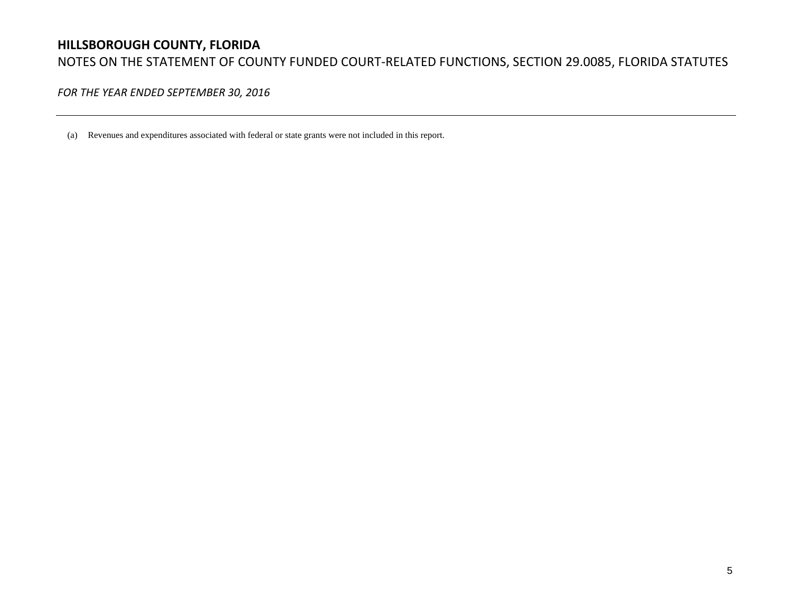# **HILLSBOROUGH COUNTY, FLORIDA** NOTES ON THE STATEMENT OF COUNTY FUNDED COURT‐RELATED FUNCTIONS, SECTION 29.0085, FLORIDA STATUTES

*FOR THE YEAR ENDED SEPTEMBER 30, 2016*

(a) Revenues and expenditures associated with federal or state grants were not included in this report.